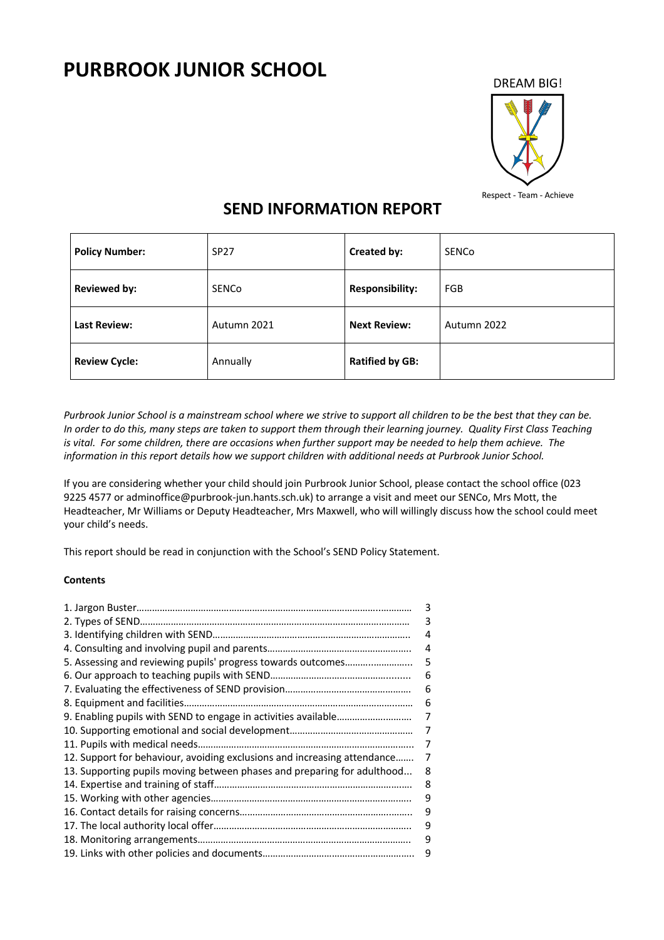# **PURBROOK JUNIOR SCHOOL**



# **SEND INFORMATION REPORT**

| <b>Policy Number:</b> | <b>SP27</b> | Created by:            | <b>SENCO</b> |
|-----------------------|-------------|------------------------|--------------|
| <b>Reviewed by:</b>   | SENCo       | <b>Responsibility:</b> | FGB          |
| <b>Last Review:</b>   | Autumn 2021 | <b>Next Review:</b>    | Autumn 2022  |
| <b>Review Cycle:</b>  | Annually    | <b>Ratified by GB:</b> |              |

*Purbrook Junior School is a mainstream school where we strive to support all children to be the best that they can be. In order to do this, many steps are taken to support them through their learning journey. Quality First Class Teaching is vital. For some children, there are occasions when further support may be needed to help them achieve. The information in this report details how we support children with additional needs at Purbrook Junior School.*

If you are considering whether your child should join Purbrook Junior School, please contact the school office (023 9225 4577 or adminoffice@purbrook-jun.hants.sch.uk) to arrange a visit and meet our SENCo, Mrs Mott, the Headteacher, Mr Williams or Deputy Headteacher, Mrs Maxwell, who will willingly discuss how the school could meet your child's needs.

This report should be read in conjunction with the School's SEND Policy Statement.

# **Contents**

|                                                                          | 3 |
|--------------------------------------------------------------------------|---|
|                                                                          | 3 |
|                                                                          |   |
|                                                                          | 4 |
| 5. Assessing and reviewing pupils' progress towards outcomes             | 5 |
|                                                                          | 6 |
|                                                                          | 6 |
|                                                                          | 6 |
|                                                                          | 7 |
|                                                                          | 7 |
|                                                                          | 7 |
| 12. Support for behaviour, avoiding exclusions and increasing attendance | 7 |
| 13. Supporting pupils moving between phases and preparing for adulthood  | 8 |
|                                                                          | 8 |
|                                                                          | 9 |
|                                                                          | 9 |
|                                                                          | 9 |
|                                                                          | 9 |
|                                                                          | 9 |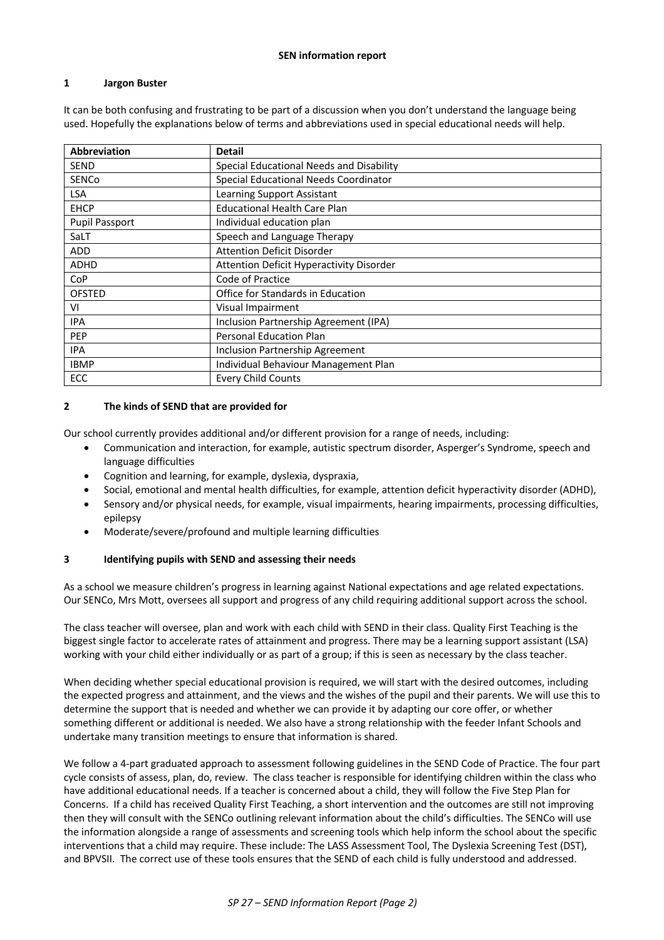#### **1 Jargon Buster**

It can be both confusing and frustrating to be part of a discussion when you don't understand the language being used. Hopefully the explanations below of terms and abbreviations used in special educational needs will help.

| <b>Abbreviation</b>   | <b>Detail</b>                            |  |
|-----------------------|------------------------------------------|--|
| SEND                  | Special Educational Needs and Disability |  |
| <b>SENCo</b>          | Special Educational Needs Coordinator    |  |
| LSA                   | Learning Support Assistant               |  |
| <b>EHCP</b>           | <b>Educational Health Care Plan</b>      |  |
| <b>Pupil Passport</b> | Individual education plan                |  |
| SaLT                  | Speech and Language Therapy              |  |
| <b>ADD</b>            | <b>Attention Deficit Disorder</b>        |  |
| <b>ADHD</b>           | Attention Deficit Hyperactivity Disorder |  |
| <b>CoP</b>            | Code of Practice                         |  |
| <b>OFSTED</b>         | Office for Standards in Education        |  |
| VI                    | Visual Impairment                        |  |
| IPA                   | Inclusion Partnership Agreement (IPA)    |  |
| <b>PEP</b>            | <b>Personal Education Plan</b>           |  |
| IPA                   | <b>Inclusion Partnership Agreement</b>   |  |
| <b>IBMP</b>           | Individual Behaviour Management Plan     |  |
| <b>ECC</b>            | <b>Every Child Counts</b>                |  |

#### **2 The kinds of SEND that are provided for**

Our school currently provides additional and/or different provision for a range of needs, including:

- Communication and interaction, for example, autistic spectrum disorder, Asperger's Syndrome, speech and language difficulties
- Cognition and learning, for example, dyslexia, dyspraxia,
- Social, emotional and mental health difficulties, for example, attention deficit hyperactivity disorder (ADHD),
- Sensory and/or physical needs, for example, visual impairments, hearing impairments, processing difficulties, epilepsy
- Moderate/severe/profound and multiple learning difficulties

## **3 Identifying pupils with SEND and assessing their needs**

As a school we measure children's progress in learning against National expectations and age related expectations. Our SENCo, Mrs Mott, oversees all support and progress of any child requiring additional support across the school.

The class teacher will oversee, plan and work with each child with SEND in their class. Quality First Teaching is the biggest single factor to accelerate rates of attainment and progress. There may be a learning support assistant (LSA) working with your child either individually or as part of a group; if this is seen as necessary by the class teacher.

When deciding whether special educational provision is required, we will start with the desired outcomes, including the expected progress and attainment, and the views and the wishes of the pupil and their parents. We will use this to determine the support that is needed and whether we can provide it by adapting our core offer, or whether something different or additional is needed. We also have a strong relationship with the feeder Infant Schools and undertake many transition meetings to ensure that information is shared.

We follow a 4-part graduated approach to assessment following guidelines in the SEND Code of Practice. The four part cycle consists of assess, plan, do, review. The class teacher is responsible for identifying children within the class who have additional educational needs. If a teacher is concerned about a child, they will follow the Five Step Plan for Concerns. If a child has received Quality First Teaching, a short intervention and the outcomes are still not improving then they will consult with the SENCo outlining relevant information about the child's difficulties. The SENCo will use the information alongside a range of assessments and screening tools which help inform the school about the specific interventions that a child may require. These include: The LASS Assessment Tool, The Dyslexia Screening Test (DST), and BPVSII. The correct use of these tools ensures that the SEND of each child is fully understood and addressed.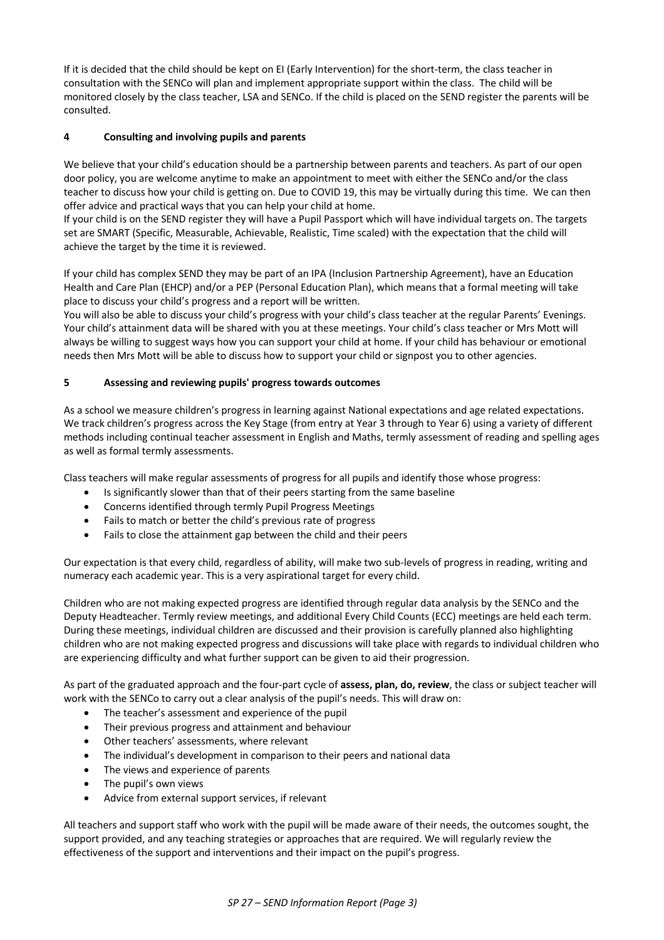If it is decided that the child should be kept on EI (Early Intervention) for the short-term, the class teacher in consultation with the SENCo will plan and implement appropriate support within the class. The child will be monitored closely by the class teacher, LSA and SENCo. If the child is placed on the SEND register the parents will be consulted.

# **4 Consulting and involving pupils and parents**

We believe that your child's education should be a partnership between parents and teachers. As part of our open door policy, you are welcome anytime to make an appointment to meet with either the SENCo and/or the class teacher to discuss how your child is getting on. Due to COVID 19, this may be virtually during this time. We can then offer advice and practical ways that you can help your child at home.

If your child is on the SEND register they will have a Pupil Passport which will have individual targets on. The targets set are SMART (Specific, Measurable, Achievable, Realistic, Time scaled) with the expectation that the child will achieve the target by the time it is reviewed.

If your child has complex SEND they may be part of an IPA (Inclusion Partnership Agreement), have an Education Health and Care Plan (EHCP) and/or a PEP (Personal Education Plan), which means that a formal meeting will take place to discuss your child's progress and a report will be written.

You will also be able to discuss your child's progress with your child's class teacher at the regular Parents' Evenings. Your child's attainment data will be shared with you at these meetings. Your child's class teacher or Mrs Mott will always be willing to suggest ways how you can support your child at home. If your child has behaviour or emotional needs then Mrs Mott will be able to discuss how to support your child or signpost you to other agencies.

# **5 Assessing and reviewing pupils' progress towards outcomes**

As a school we measure children's progress in learning against National expectations and age related expectations. We track children's progress across the Key Stage (from entry at Year 3 through to Year 6) using a variety of different methods including continual teacher assessment in English and Maths, termly assessment of reading and spelling ages as well as formal termly assessments.

Class teachers will make regular assessments of progress for all pupils and identify those whose progress:

- Is significantly slower than that of their peers starting from the same baseline
- Concerns identified through termly Pupil Progress Meetings
- Fails to match or better the child's previous rate of progress
- Fails to close the attainment gap between the child and their peers

Our expectation is that every child, regardless of ability, will make two sub-levels of progress in reading, writing and numeracy each academic year. This is a very aspirational target for every child.

Children who are not making expected progress are identified through regular data analysis by the SENCo and the Deputy Headteacher. Termly review meetings, and additional Every Child Counts (ECC) meetings are held each term. During these meetings, individual children are discussed and their provision is carefully planned also highlighting children who are not making expected progress and discussions will take place with regards to individual children who are experiencing difficulty and what further support can be given to aid their progression.

As part of the graduated approach and the four-part cycle of **assess, plan, do, review**, the class or subject teacher will work with the SENCo to carry out a clear analysis of the pupil's needs. This will draw on:

- The teacher's assessment and experience of the pupil
- Their previous progress and attainment and behaviour
- Other teachers' assessments, where relevant
- The individual's development in comparison to their peers and national data
- The views and experience of parents
- The pupil's own views
- Advice from external support services, if relevant

All teachers and support staff who work with the pupil will be made aware of their needs, the outcomes sought, the support provided, and any teaching strategies or approaches that are required. We will regularly review the effectiveness of the support and interventions and their impact on the pupil's progress.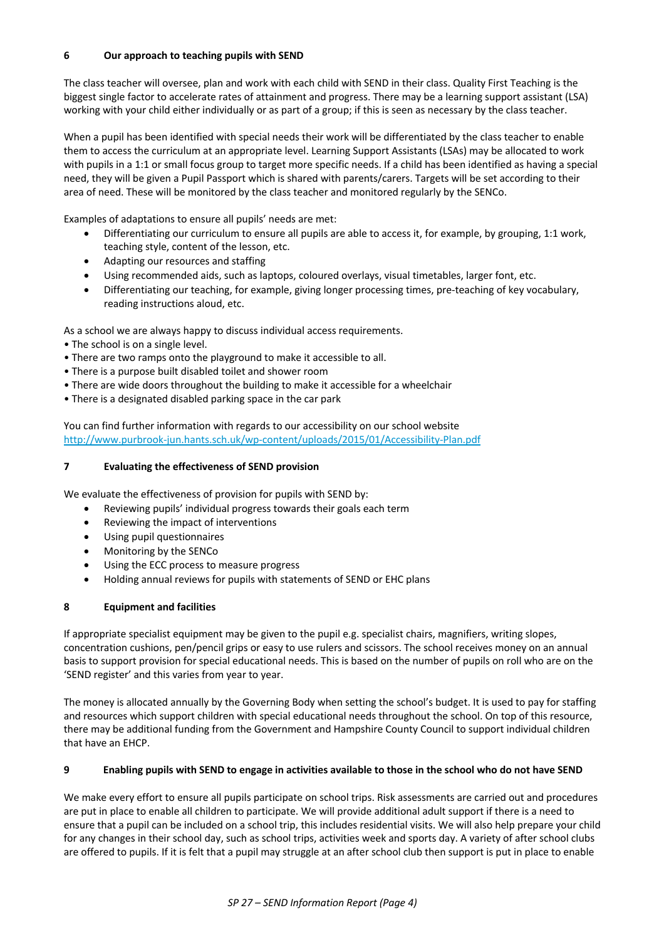# **6 Our approach to teaching pupils with SEND**

The class teacher will oversee, plan and work with each child with SEND in their class. Quality First Teaching is the biggest single factor to accelerate rates of attainment and progress. There may be a learning support assistant (LSA) working with your child either individually or as part of a group; if this is seen as necessary by the class teacher.

When a pupil has been identified with special needs their work will be differentiated by the class teacher to enable them to access the curriculum at an appropriate level. Learning Support Assistants (LSAs) may be allocated to work with pupils in a 1:1 or small focus group to target more specific needs. If a child has been identified as having a special need, they will be given a Pupil Passport which is shared with parents/carers. Targets will be set according to their area of need. These will be monitored by the class teacher and monitored regularly by the SENCo.

Examples of adaptations to ensure all pupils' needs are met:

- Differentiating our curriculum to ensure all pupils are able to access it, for example, by grouping, 1:1 work, teaching style, content of the lesson, etc.
- Adapting our resources and staffing
- Using recommended aids, such as laptops, coloured overlays, visual timetables, larger font, etc.
- Differentiating our teaching, for example, giving longer processing times, pre-teaching of key vocabulary, reading instructions aloud, etc.

As a school we are always happy to discuss individual access requirements.

- The school is on a single level.
- There are two ramps onto the playground to make it accessible to all.
- There is a purpose built disabled toilet and shower room
- There are wide doors throughout the building to make it accessible for a wheelchair
- There is a designated disabled parking space in the car park

You can find further information with regards to our accessibility on our school website http://www.purbrook-jun.hants.sch.uk/wp-content/uploads/2015/01/Accessibility-Plan.pdf

## **7 Evaluating the effectiveness of SEND provision**

We evaluate the effectiveness of provision for pupils with SEND by:

- Reviewing pupils' individual progress towards their goals each term
- Reviewing the impact of interventions
- Using pupil questionnaires
- Monitoring by the SENCo
- Using the ECC process to measure progress
- Holding annual reviews for pupils with statements of SEND or EHC plans

## **8 Equipment and facilities**

If appropriate specialist equipment may be given to the pupil e.g. specialist chairs, magnifiers, writing slopes, concentration cushions, pen/pencil grips or easy to use rulers and scissors. The school receives money on an annual basis to support provision for special educational needs. This is based on the number of pupils on roll who are on the 'SEND register' and this varies from year to year.

The money is allocated annually by the Governing Body when setting the school's budget. It is used to pay for staffing and resources which support children with special educational needs throughout the school. On top of this resource, there may be additional funding from the Government and Hampshire County Council to support individual children that have an EHCP.

## **9 Enabling pupils with SEND to engage in activities available to those in the school who do not have SEND**

We make every effort to ensure all pupils participate on school trips. Risk assessments are carried out and procedures are put in place to enable all children to participate. We will provide additional adult support if there is a need to ensure that a pupil can be included on a school trip, this includes residential visits. We will also help prepare your child for any changes in their school day, such as school trips, activities week and sports day. A variety of after school clubs are offered to pupils. If it is felt that a pupil may struggle at an after school club then support is put in place to enable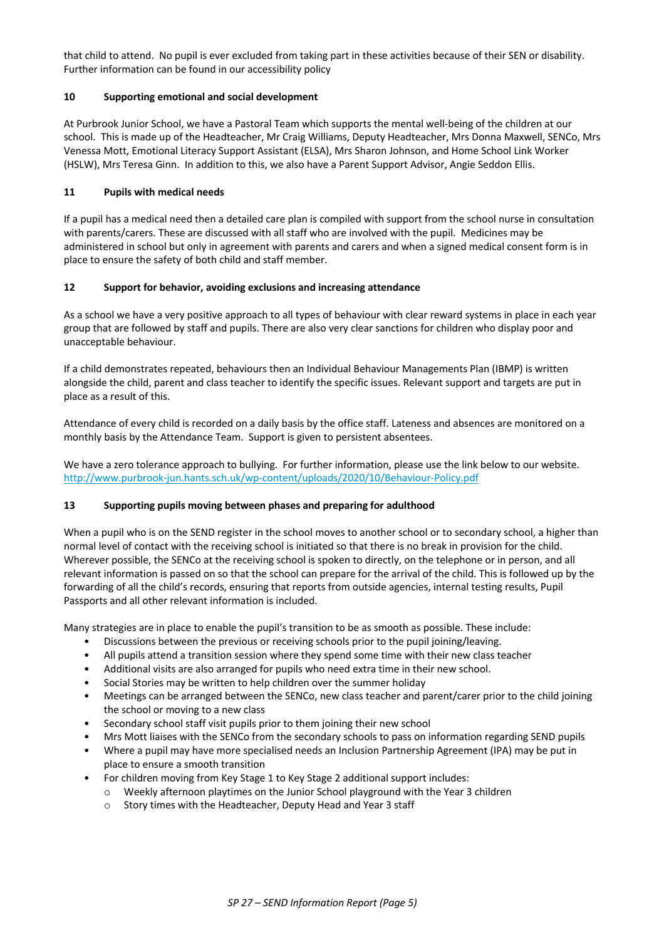that child to attend. No pupil is ever excluded from taking part in these activities because of their SEN or disability. Further information can be found in our accessibility policy

# **10 Supporting emotional and social development**

At Purbrook Junior School, we have a Pastoral Team which supports the mental well-being of the children at our school. This is made up of the Headteacher, Mr Craig Williams, Deputy Headteacher, Mrs Donna Maxwell, SENCo, Mrs Venessa Mott, Emotional Literacy Support Assistant (ELSA), Mrs Sharon Johnson, and Home School Link Worker (HSLW), Mrs Teresa Ginn. In addition to this, we also have a Parent Support Advisor, Angie Seddon Ellis.

# **11 Pupils with medical needs**

If a pupil has a medical need then a detailed care plan is compiled with support from the school nurse in consultation with parents/carers. These are discussed with all staff who are involved with the pupil. Medicines may be administered in school but only in agreement with parents and carers and when a signed medical consent form is in place to ensure the safety of both child and staff member.

# **12 Support for behavior, avoiding exclusions and increasing attendance**

As a school we have a very positive approach to all types of behaviour with clear reward systems in place in each year group that are followed by staff and pupils. There are also very clear sanctions for children who display poor and unacceptable behaviour.

If a child demonstrates repeated, behaviours then an Individual Behaviour Managements Plan (IBMP) is written alongside the child, parent and class teacher to identify the specific issues. Relevant support and targets are put in place as a result of this.

Attendance of every child is recorded on a daily basis by the office staff. Lateness and absences are monitored on a monthly basis by the Attendance Team. Support is given to persistent absentees.

We have a zero tolerance approach to bullying. For further information, please use the link below to our website. http://www.purbrook-jun.hants.sch.uk/wp-content/uploads/2020/10/Behaviour-Policy.pdf

# **13 Supporting pupils moving between phases and preparing for adulthood**

When a pupil who is on the SEND register in the school moves to another school or to secondary school, a higher than normal level of contact with the receiving school is initiated so that there is no break in provision for the child. Wherever possible, the SENCo at the receiving school is spoken to directly, on the telephone or in person, and all relevant information is passed on so that the school can prepare for the arrival of the child. This is followed up by the forwarding of all the child's records, ensuring that reports from outside agencies, internal testing results, Pupil Passports and all other relevant information is included.

Many strategies are in place to enable the pupil's transition to be as smooth as possible. These include:

- Discussions between the previous or receiving schools prior to the pupil joining/leaving.
- All pupils attend a transition session where they spend some time with their new class teacher
- Additional visits are also arranged for pupils who need extra time in their new school.
- Social Stories may be written to help children over the summer holiday
- Meetings can be arranged between the SENCo, new class teacher and parent/carer prior to the child joining the school or moving to a new class
- Secondary school staff visit pupils prior to them joining their new school
- Mrs Mott liaises with the SENCo from the secondary schools to pass on information regarding SEND pupils
- Where a pupil may have more specialised needs an Inclusion Partnership Agreement (IPA) may be put in place to ensure a smooth transition
- For children moving from Key Stage 1 to Key Stage 2 additional support includes:
	- o Weekly afternoon playtimes on the Junior School playground with the Year 3 children
	- o Story times with the Headteacher, Deputy Head and Year 3 staff